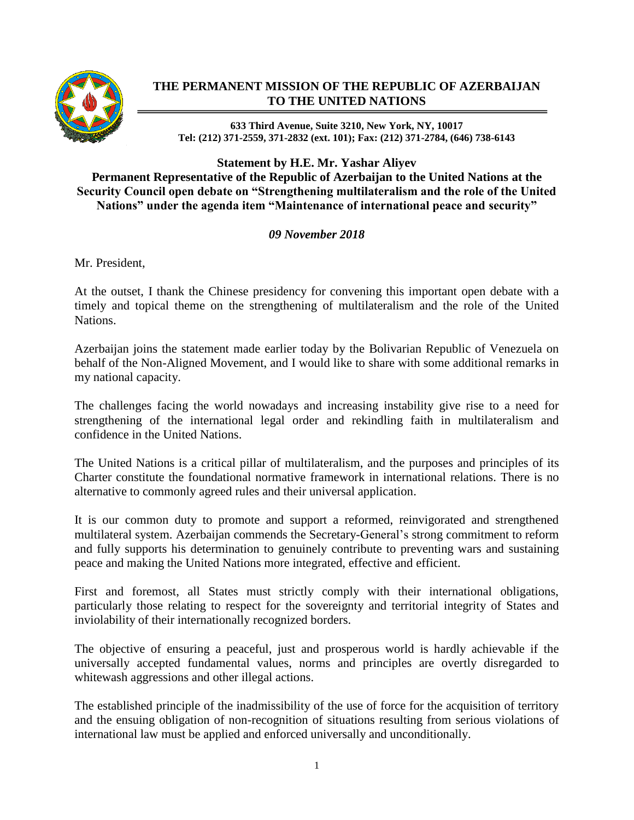

## **THE PERMANENT MISSION OF THE REPUBLIC OF AZERBAIJAN TO THE UNITED NATIONS**

**633 Third Avenue, Suite 3210, New York, NY, 10017 Tel: (212) 371-2559, 371-2832 (ext. 101); Fax: (212) 371-2784, (646) 738-6143**

**Statement by H.E. Mr. Yashar Aliyev Permanent Representative of the Republic of Azerbaijan to the United Nations at the Security Council open debate on "Strengthening multilateralism and the role of the United Nations" under the agenda item "Maintenance of international peace and security"**

## *09 November 2018*

Mr. President,

At the outset, I thank the Chinese presidency for convening this important open debate with a timely and topical theme on the strengthening of multilateralism and the role of the United Nations.

Azerbaijan joins the statement made earlier today by the Bolivarian Republic of Venezuela on behalf of the Non-Aligned Movement, and I would like to share with some additional remarks in my national capacity.

The challenges facing the world nowadays and increasing instability give rise to a need for strengthening of the international legal order and rekindling faith in multilateralism and confidence in the United Nations.

The United Nations is a critical pillar of multilateralism, and the purposes and principles of its Charter constitute the foundational normative framework in international relations. There is no alternative to commonly agreed rules and their universal application.

It is our common duty to promote and support a reformed, reinvigorated and strengthened multilateral system. Azerbaijan commends the Secretary-General's strong commitment to reform and fully supports his determination to genuinely contribute to preventing wars and sustaining peace and making the United Nations more integrated, effective and efficient.

First and foremost, all States must strictly comply with their international obligations, particularly those relating to respect for the sovereignty and territorial integrity of States and inviolability of their internationally recognized borders.

The objective of ensuring a peaceful, just and prosperous world is hardly achievable if the universally accepted fundamental values, norms and principles are overtly disregarded to whitewash aggressions and other illegal actions.

The established principle of the inadmissibility of the use of force for the acquisition of territory and the ensuing obligation of non-recognition of situations resulting from serious violations of international law must be applied and enforced universally and unconditionally.